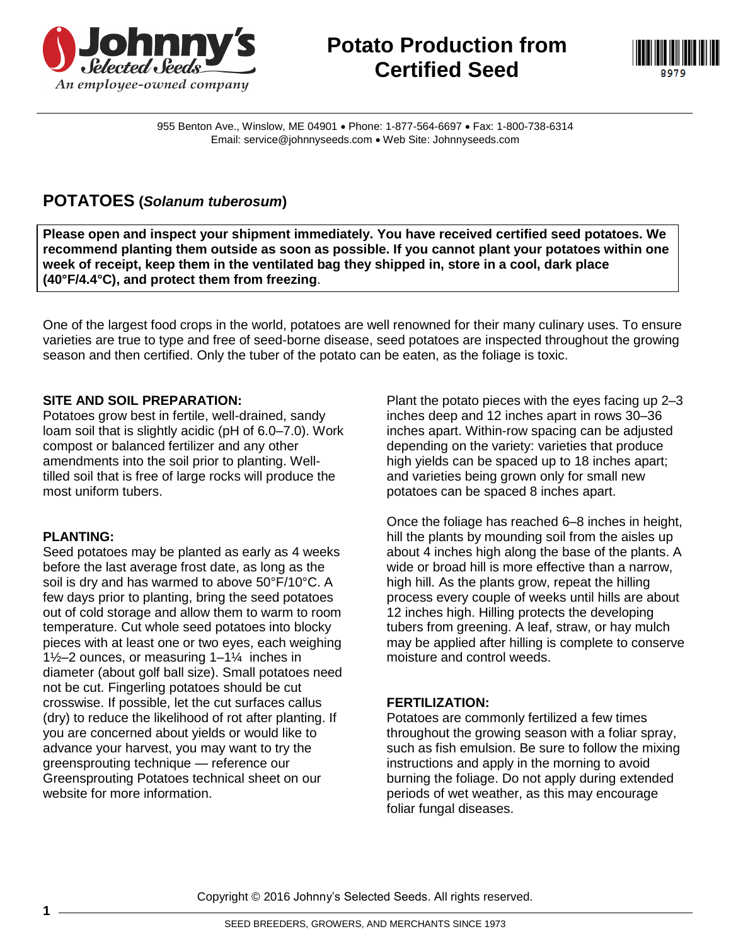

# **Potato Production from Certified Seed**



955 Benton Ave., Winslow, ME 04901 · Phone: 1-877-564-6697 · Fax: 1-800-738-6314 Email: service@johnnyseeds.com Web Site: Johnnyseeds.com

## **POTATOES (***Solanum tuberosum***)**

**Please open and inspect your shipment immediately. You have received certified seed potatoes. We recommend planting them outside as soon as possible. If you cannot plant your potatoes within one week of receipt, keep them in the ventilated bag they shipped in, store in a cool, dark place (40°F/4.4°C), and protect them from freezing**.

One of the largest food crops in the world, potatoes are well renowned for their many culinary uses. To ensure varieties are true to type and free of seed-borne disease, seed potatoes are inspected throughout the growing season and then certified. Only the tuber of the potato can be eaten, as the foliage is toxic.

### **SITE AND SOIL PREPARATION:**

Potatoes grow best in fertile, well-drained, sandy loam soil that is slightly acidic (pH of 6.0–7.0). Work compost or balanced fertilizer and any other amendments into the soil prior to planting. Welltilled soil that is free of large rocks will produce the most uniform tubers.

### **PLANTING:**

Seed potatoes may be planted as early as 4 weeks before the last average frost date, as long as the soil is dry and has warmed to above 50°F/10°C. A few days prior to planting, bring the seed potatoes out of cold storage and allow them to warm to room temperature. Cut whole seed potatoes into blocky pieces with at least one or two eyes, each weighing 1½–2 ounces, or measuring 1–1¼ inches in diameter (about golf ball size). Small potatoes need not be cut. Fingerling potatoes should be cut crosswise. If possible, let the cut surfaces callus (dry) to reduce the likelihood of rot after planting. If you are concerned about yields or would like to advance your harvest, you may want to try the greensprouting technique — reference our Greensprouting Potatoes technical sheet on our website for more information.

Plant the potato pieces with the eyes facing up 2–3 inches deep and 12 inches apart in rows 30–36 inches apart. Within-row spacing can be adjusted depending on the variety: varieties that produce high yields can be spaced up to 18 inches apart; and varieties being grown only for small new potatoes can be spaced 8 inches apart.

Once the foliage has reached 6–8 inches in height, hill the plants by mounding soil from the aisles up about 4 inches high along the base of the plants. A wide or broad hill is more effective than a narrow, high hill. As the plants grow, repeat the hilling process every couple of weeks until hills are about 12 inches high. Hilling protects the developing tubers from greening. A leaf, straw, or hay mulch may be applied after hilling is complete to conserve moisture and control weeds.

### **FERTILIZATION:**

Potatoes are commonly fertilized a few times throughout the growing season with a foliar spray, such as fish emulsion. Be sure to follow the mixing instructions and apply in the morning to avoid burning the foliage. Do not apply during extended periods of wet weather, as this may encourage foliar fungal diseases.

Copyright © 2016 Johnny's Selected Seeds. All rights reserved.